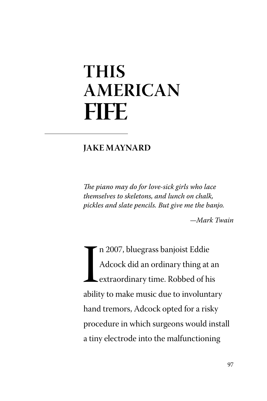## **THIS AMERICAN FIFE**

## **JAKE MAYNARD**

T*e piano may do for love-sick girls who lace themselves to skeletons, and lunch on chalk, pickles and slate pencils. But give me the banjo.*

*—Mark Twain*

In 2007, bluegrass banjoist Eddie<br>Adcock did an ordinary thing at an<br>extraordinary time. Robbed of his<br>ability to make music due to involuntary n 2007, bluegrass banjoist Eddie Adcock did an ordinary thing at an extraordinary time. Robbed of his hand tremors, Adcock opted for a risky procedure in which surgeons would install a tiny electrode into the malfunctioning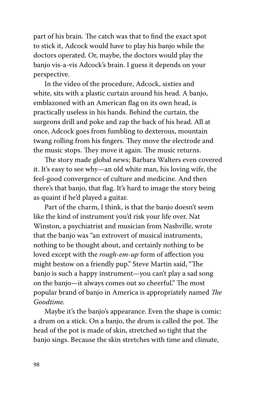part of his brain. The catch was that to find the exact spot to stick it, Adcock would have to play his banjo while the doctors operated. Or, maybe, the doctors would play the banjo vis-a-vis Adcock's brain. I guess it depends on your perspective.

In the video of the procedure, Adcock, sixties and white, sits with a plastic curtain around his head. A banjo, emblazoned with an American flag on its own head, is practically useless in his hands. Behind the curtain, the surgeons drill and poke and zap the back of his head. All at once, Adcock goes from fumbling to dexterous, mountain twang rolling from his fingers. They move the electrode and the music stops. They move it again. The music returns.

The story made global news; Barbara Walters even covered it. It's easy to see why—an old white man, his loving wife, the feel-good convergence of culture and medicine. And then there's that banjo, that flag. It's hard to image the story being as quaint if he'd played a guitar.

Part of the charm, I think, is that the banjo doesn't seem like the kind of instrument you'd risk your life over. Nat Winston, a psychiatrist and musician from Nashville, wrote that the banjo was "an extrovert of musical instruments, nothing to be thought about, and certainly nothing to be loved except with the *rough-em-up* form of affection you might bestow on a friendly pup." Steve Martin said, "The banjo is such a happy instrument—you can't play a sad song on the banjo-it always comes out so cheerful." The most popular brand of banjo in America is appropriately named T*e Goodtime.* 

Maybe it's the banjo's appearance. Even the shape is comic: a drum on a stick. On a banjo, the drum is called the pot. The head of the pot is made of skin, stretched so tight that the banjo sings. Because the skin stretches with time and climate,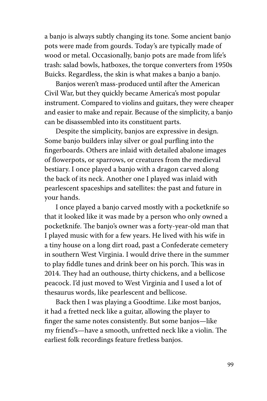a banjo is always subtly changing its tone. Some ancient banjo pots were made from gourds. Today's are typically made of wood or metal. Occasionally, banjo pots are made from life's trash: salad bowls, hatboxes, the torque converters from 1950s Buicks. Regardless, the skin is what makes a banjo a banjo.

Banjos weren't mass-produced until after the American Civil War, but they quickly became America's most popular instrument. Compared to violins and guitars, they were cheaper and easier to make and repair. Because of the simplicity, a banjo can be disassembled into its constituent parts.

Despite the simplicity, banjos are expressive in design. Some banjo builders inlay silver or goal purfling into the fingerboards. Others are inlaid with detailed abalone images of flowerpots, or sparrows, or creatures from the medieval bestiary. I once played a banjo with a dragon carved along the back of its neck. Another one I played was inlaid with pearlescent spaceships and satellites: the past and future in your hands.

I once played a banjo carved mostly with a pocketknife so that it looked like it was made by a person who only owned a pocketknife. The banjo's owner was a forty-year-old man that I played music with for a few years. He lived with his wife in a tiny house on a long dirt road, past a Confederate cemetery in southern West Virginia. I would drive there in the summer to play fiddle tunes and drink beer on his porch. This was in 2014. They had an outhouse, thirty chickens, and a bellicose peacock. I'd just moved to West Virginia and I used a lot of thesaurus words, like pearlescent and bellicose.

Back then I was playing a Goodtime. Like most banjos, it had a fretted neck like a guitar, allowing the player to finger the same notes consistently. But some banjos—like my friend's—have a smooth, unfretted neck like a violin. The earliest folk recordings feature fretless banjos.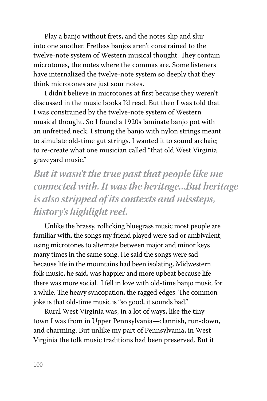Play a banjo without frets, and the notes slip and slur into one another. Fretless banjos aren't constrained to the twelve-note system of Western musical thought. They contain microtones, the notes where the commas are. Some listeners have internalized the twelve-note system so deeply that they think microtones are just sour notes.

I didn't believe in microtones at first because they weren't discussed in the music books I'd read. But then I was told that I was constrained by the twelve-note system of Western musical thought. So I found a 1920s laminate banjo pot with an unfretted neck. I strung the banjo with nylon strings meant to simulate old-time gut strings. I wanted it to sound archaic; to re-create what one musician called "that old West Virginia graveyard music."

*But it wasn't the true past that people like me connected with. It was the heritage...But heritage is also stripped of its contexts and missteps, history's highlight reel.*

Unlike the brassy, rollicking bluegrass music most people are familiar with, the songs my friend played were sad or ambivalent, using microtones to alternate between major and minor keys many times in the same song. He said the songs were sad because life in the mountains had been isolating. Midwestern folk music, he said, was happier and more upbeat because life there was more social. I fell in love with old-time banjo music for a while. The heavy syncopation, the ragged edges. The common joke is that old-time music is "so good, it sounds bad."

Rural West Virginia was, in a lot of ways, like the tiny town I was from in Upper Pennsylvania—clannish, run-down, and charming. But unlike my part of Pennsylvania, in West Virginia the folk music traditions had been preserved. But it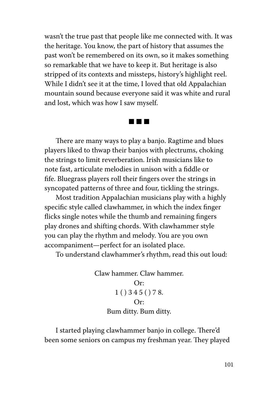wasn't the true past that people like me connected with. It was the heritage. You know, the part of history that assumes the past won't be remembered on its own, so it makes something so remarkable that we have to keep it. But heritage is also stripped of its contexts and missteps, history's highlight reel. While I didn't see it at the time, I loved that old Appalachian mountain sound because everyone said it was white and rural and lost, which was how I saw myself.

■ ■ ■

There are many ways to play a banjo. Ragtime and blues players liked to thwap their banjos with plectrums, choking the strings to limit reverberation. Irish musicians like to note fast, articulate melodies in unison with a fiddle or fife. Bluegrass players roll their fingers over the strings in syncopated patterns of three and four, tickling the strings.

Most tradition Appalachian musicians play with a highly specific style called clawhammer, in which the index finger flicks single notes while the thumb and remaining fingers play drones and shifting chords. With clawhammer style you can play the rhythm and melody. You are you own accompaniment—perfect for an isolated place.

To understand clawhammer's rhythm, read this out loud:

Claw hammer. Claw hammer. Or: 1 ( ) 3 4 5 ( ) 7 8. Or: Bum ditty. Bum ditty.

I started playing clawhammer banjo in college. There'd been some seniors on campus my freshman year. They played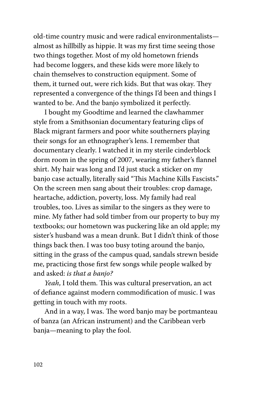old-time country music and were radical environmentalists almost as hillbilly as hippie. It was my first time seeing those two things together. Most of my old hometown friends had become loggers, and these kids were more likely to chain themselves to construction equipment. Some of them, it turned out, were rich kids. But that was okay. They represented a convergence of the things I'd been and things I wanted to be. And the banjo symbolized it perfectly.

I bought my Goodtime and learned the clawhammer style from a Smithsonian documentary featuring clips of Black migrant farmers and poor white southerners playing their songs for an ethnographer's lens. I remember that documentary clearly. I watched it in my sterile cinderblock dorm room in the spring of 2007, wearing my father's flannel shirt. My hair was long and I'd just stuck a sticker on my banjo case actually, literally said "This Machine Kills Fascists." On the screen men sang about their troubles: crop damage, heartache, addiction, poverty, loss. My family had real troubles, too. Lives as similar to the singers as they were to mine. My father had sold timber from our property to buy my textbooks; our hometown was puckering like an old apple; my sister's husband was a mean drunk. But I didn't think of those things back then. I was too busy toting around the banjo, sitting in the grass of the campus quad, sandals strewn beside me, practicing those first few songs while people walked by and asked: *is that a banjo?*

Yeah, I told them. This was cultural preservation, an act of defiance against modern commodification of music. I was getting in touch with my roots.

And in a way, I was. The word banjo may be portmanteau of banza (an African instrument) and the Caribbean verb banja—meaning to play the fool.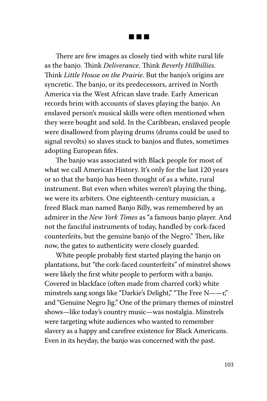■ ■ ■

There are few images as closely tied with white rural life as the banjo. Think *Deliverance*. Think Beverly Hillbillies. Think *Little House on the Prairie*. But the banjo's origins are syncretic. The banjo, or its predecessors, arrived in North America via the West African slave trade. Early American records brim with accounts of slaves playing the banjo. An enslaved person's musical skills were often mentioned when they were bought and sold. In the Caribbean, enslaved people were disallowed from playing drums (drums could be used to signal revolts) so slaves stuck to banjos and flutes, sometimes adopting European fifes.

The banjo was associated with Black people for most of what we call American History. It's only for the last 120 years or so that the banjo has been thought of as a white, rural instrument. But even when whites weren't playing the thing, we were its arbiters. One eighteenth-century musician, a freed Black man named Banjo Billy, was remembered by an admirer in the *New York Times* as "a famous banjo player. And not the fanciful instruments of today, handled by cork-faced counterfeits, but the genuine banjo of the Negro." Then, like now, the gates to authenticity were closely guarded.

White people probably first started playing the banjo on plantations, but "the cork-faced counterfeits" of minstrel shows were likely the first white people to perform with a banjo. Covered in blackface (often made from charred cork) white minstrels sang songs like "Darkie's Delight," "The Free  $N = r$ ," and "Genuine Negro Jig." One of the primary themes of minstrel shows—like today's country music—was nostalgia. Minstrels were targeting white audiences who wanted to remember slavery as a happy and carefree existence for Black Americans. Even in its heyday, the banjo was concerned with the past.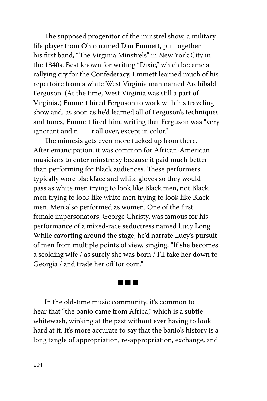The supposed progenitor of the minstrel show, a military fife player from Ohio named Dan Emmett, put together his first band, "The Virginia Minstrels" in New York City in the 1840s. Best known for writing "Dixie," which became a rallying cry for the Confederacy, Emmett learned much of his repertoire from a white West Virginia man named Archibald Ferguson. (At the time, West Virginia was still a part of Virginia.) Emmett hired Ferguson to work with his traveling show and, as soon as he'd learned all of Ferguson's techniques and tunes, Emmett fired him, writing that Ferguson was "very ignorant and n--r all over, except in color."

The mimesis gets even more fucked up from there. After emancipation, it was common for African-American musicians to enter minstrelsy because it paid much better than performing for Black audiences. These performers typically wore blackface and white gloves so they would pass as white men trying to look like Black men, not Black men trying to look like white men trying to look like Black men. Men also performed as women. One of the first female impersonators, George Christy, was famous for his performance of a mixed-race seductress named Lucy Long. While cavorting around the stage, he'd narrate Lucy's pursuit of men from multiple points of view, singing, "If she becomes a scolding wife / as surely she was born / I'll take her down to Georgia / and trade her off for corn."

## ■ ■ ■

In the old-time music community, it's common to hear that "the banjo came from Africa," which is a subtle whitewash, winking at the past without ever having to look hard at it. It's more accurate to say that the banjo's history is a long tangle of appropriation, re-appropriation, exchange, and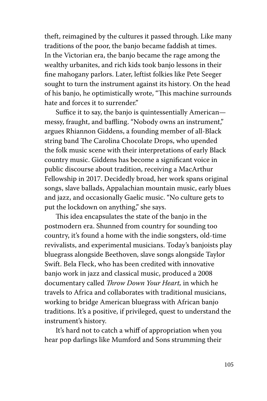theft, reimagined by the cultures it passed through. Like many traditions of the poor, the banjo became faddish at times. In the Victorian era, the banjo became the rage among the wealthy urbanites, and rich kids took banjo lessons in their fine mahogany parlors. Later, leftist folkies like Pete Seeger sought to turn the instrument against its history. On the head of his banjo, he optimistically wrote, "This machine surrounds hate and forces it to surrender."

Suffice it to say, the banjo is quintessentially American messy, fraught, and baffling. "Nobody owns an instrument," argues Rhiannon Giddens, a founding member of all-Black string band The Carolina Chocolate Drops, who upended the folk music scene with their interpretations of early Black country music. Giddens has become a significant voice in public discourse about tradition, receiving a MacArthur Fellowship in 2017. Decidedly broad, her work spans original songs, slave ballads, Appalachian mountain music, early blues and jazz, and occasionally Gaelic music. "No culture gets to put the lockdown on anything," she says.

This idea encapsulates the state of the banjo in the postmodern era. Shunned from country for sounding too country, it's found a home with the indie songsters, old-time revivalists, and experimental musicians. Today's banjoists play bluegrass alongside Beethoven, slave songs alongside Taylor Swift. Bela Fleck, who has been credited with innovative banjo work in jazz and classical music, produced a 2008 documentary called T*row Down Your Heart,* in which he travels to Africa and collaborates with traditional musicians, working to bridge American bluegrass with African banjo traditions. It's a positive, if privileged, quest to understand the instrument's history.

It's hard not to catch a whiff of appropriation when you hear pop darlings like Mumford and Sons strumming their